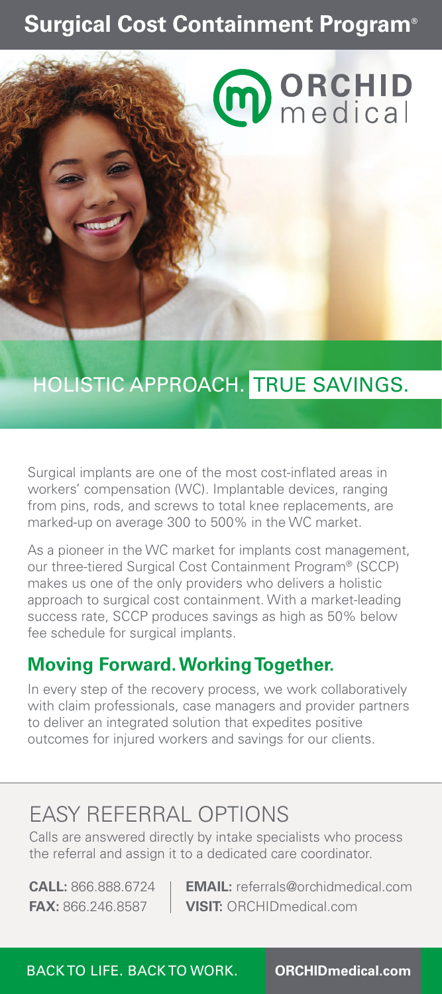## **Surgical Cost Containment Program®**

# **m** ORCHID

# HOLISTIC APPROACH. TRUE SAVINGS.

Surgical implants are one of the most cost-inflated areas in workers' compensation (WC). Implantable devices, ranging from pins, rods, and screws to total knee replacements, are marked-up on average 300 to 500% in the WC market.

As a pioneer in the WC market for implants cost management, our three-tiered Surgical Cost Containment Program® (SCCP) makes us one of the only providers who delivers a holistic approach to surgical cost containment. With a market-leading success rate, SCCP produces savings as high as 50% below fee schedule for surgical implants.

### **Moving Forward. Working Together.**

In every step of the recovery process, we work collaboratively with claim professionals, case managers and provider partners to deliver an integrated solution that expedites positive outcomes for injured workers and savings for our clients.

## EASY REFERRAL OPTIONS

Calls are answered directly by intake specialists who process the referral and assign it to a dedicated care coordinator.

**CALL:** 866.888.6724 **EMAIL:** referrals@orchidmedical.com **FAX:** 866.246.8587 **VISIT:** ORCHIDmedical.com

BACK TO LIFE. BACK TO WORK. **ORCHIDmedical.com**